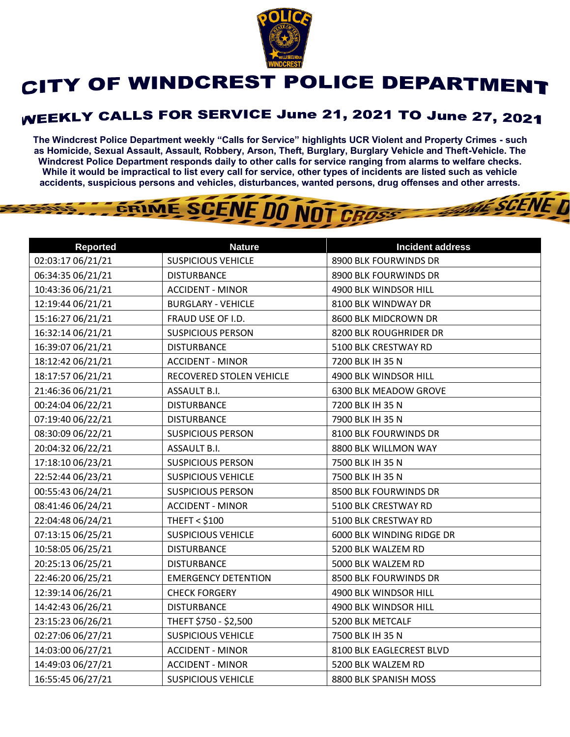

## CITY OF WINDCREST POLICE DEPARTMENT

## **WEEKLY CALLS FOR SERVICE June 21, 2021 TO June 27, 2021**

**The Windcrest Police Department weekly "Calls for Service" highlights UCR Violent and Property Crimes - such as Homicide, Sexual Assault, Assault, Robbery, Arson, Theft, Burglary, Burglary Vehicle and Theft-Vehicle. The Windcrest Police Department responds daily to other calls for service ranging from alarms to welfare checks. While it would be impractical to list every call for service, other types of incidents are listed such as vehicle accidents, suspicious persons and vehicles, disturbances, wanted persons, drug offenses and other arrests.** 

**THE SCENE D** 

## GRIME SCENE DO NOT CROSS

| <b>Reported</b>   | <b>Nature</b>              | <b>Incident address</b>   |
|-------------------|----------------------------|---------------------------|
| 02:03:17 06/21/21 | <b>SUSPICIOUS VEHICLE</b>  | 8900 BLK FOURWINDS DR     |
| 06:34:35 06/21/21 | <b>DISTURBANCE</b>         | 8900 BLK FOURWINDS DR     |
| 10:43:36 06/21/21 | <b>ACCIDENT - MINOR</b>    | 4900 BLK WINDSOR HILL     |
| 12:19:44 06/21/21 | <b>BURGLARY - VEHICLE</b>  | 8100 BLK WINDWAY DR       |
| 15:16:27 06/21/21 | FRAUD USE OF I.D.          | 8600 BLK MIDCROWN DR      |
| 16:32:14 06/21/21 | <b>SUSPICIOUS PERSON</b>   | 8200 BLK ROUGHRIDER DR    |
| 16:39:07 06/21/21 | <b>DISTURBANCE</b>         | 5100 BLK CRESTWAY RD      |
| 18:12:42 06/21/21 | <b>ACCIDENT - MINOR</b>    | 7200 BLK IH 35 N          |
| 18:17:57 06/21/21 | RECOVERED STOLEN VEHICLE   | 4900 BLK WINDSOR HILL     |
| 21:46:36 06/21/21 | ASSAULT B.I.               | 6300 BLK MEADOW GROVE     |
| 00:24:04 06/22/21 | <b>DISTURBANCE</b>         | 7200 BLK IH 35 N          |
| 07:19:40 06/22/21 | <b>DISTURBANCE</b>         | 7900 BLK IH 35 N          |
| 08:30:09 06/22/21 | <b>SUSPICIOUS PERSON</b>   | 8100 BLK FOURWINDS DR     |
| 20:04:32 06/22/21 | ASSAULT B.I.               | 8800 BLK WILLMON WAY      |
| 17:18:10 06/23/21 | <b>SUSPICIOUS PERSON</b>   | 7500 BLK IH 35 N          |
| 22:52:44 06/23/21 | <b>SUSPICIOUS VEHICLE</b>  | 7500 BLK IH 35 N          |
| 00:55:43 06/24/21 | <b>SUSPICIOUS PERSON</b>   | 8500 BLK FOURWINDS DR     |
| 08:41:46 06/24/21 | <b>ACCIDENT - MINOR</b>    | 5100 BLK CRESTWAY RD      |
| 22:04:48 06/24/21 | <b>THEFT &lt; \$100</b>    | 5100 BLK CRESTWAY RD      |
| 07:13:15 06/25/21 | <b>SUSPICIOUS VEHICLE</b>  | 6000 BLK WINDING RIDGE DR |
| 10:58:05 06/25/21 | <b>DISTURBANCE</b>         | 5200 BLK WALZEM RD        |
| 20:25:13 06/25/21 | <b>DISTURBANCE</b>         | 5000 BLK WALZEM RD        |
| 22:46:20 06/25/21 | <b>EMERGENCY DETENTION</b> | 8500 BLK FOURWINDS DR     |
| 12:39:14 06/26/21 | <b>CHECK FORGERY</b>       | 4900 BLK WINDSOR HILL     |
| 14:42:43 06/26/21 | <b>DISTURBANCE</b>         | 4900 BLK WINDSOR HILL     |
| 23:15:23 06/26/21 | THEFT \$750 - \$2,500      | 5200 BLK METCALF          |
| 02:27:06 06/27/21 | <b>SUSPICIOUS VEHICLE</b>  | 7500 BLK IH 35 N          |
| 14:03:00 06/27/21 | <b>ACCIDENT - MINOR</b>    | 8100 BLK EAGLECREST BLVD  |
| 14:49:03 06/27/21 | <b>ACCIDENT - MINOR</b>    | 5200 BLK WALZEM RD        |
| 16:55:45 06/27/21 | <b>SUSPICIOUS VEHICLE</b>  | 8800 BLK SPANISH MOSS     |